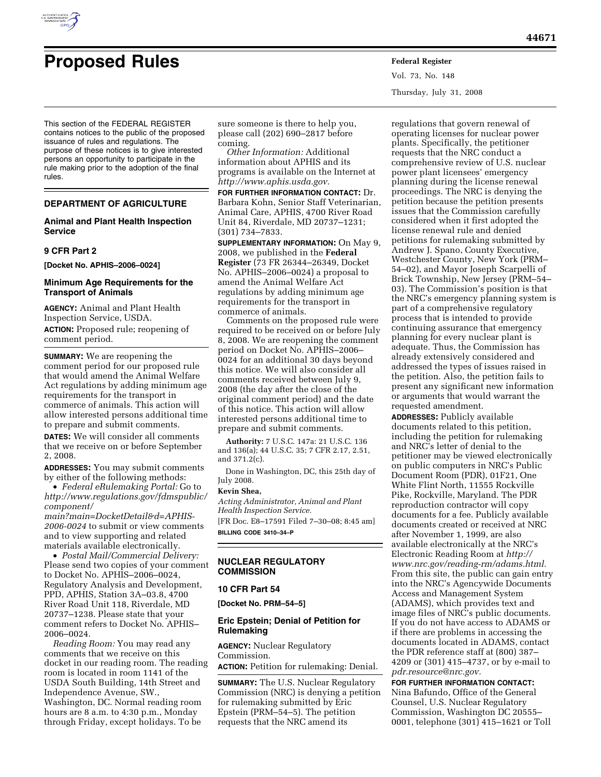

Vol. 73, No. 148 Thursday, July 31, 2008

This section of the FEDERAL REGISTER contains notices to the public of the proposed issuance of rules and regulations. The purpose of these notices is to give interested persons an opportunity to participate in the rule making prior to the adoption of the final rules.

# **DEPARTMENT OF AGRICULTURE**

# **Animal and Plant Health Inspection Service**

#### **9 CFR Part 2**

**[Docket No. APHIS–2006–0024]** 

## **Minimum Age Requirements for the Transport of Animals**

**AGENCY:** Animal and Plant Health Inspection Service, USDA.

**ACTION:** Proposed rule; reopening of comment period.

**SUMMARY:** We are reopening the comment period for our proposed rule that would amend the Animal Welfare Act regulations by adding minimum age requirements for the transport in commerce of animals. This action will allow interested persons additional time to prepare and submit comments.

**DATES:** We will consider all comments that we receive on or before September 2, 2008.

**ADDRESSES:** You may submit comments by either of the following methods:

• *Federal eRulemaking Portal:* Go to *http://www.regulations.gov/fdmspublic/ component/* 

*main?main=DocketDetail&d=APHIS-2006-0024* to submit or view comments and to view supporting and related materials available electronically.

• *Postal Mail/Commercial Delivery:*  Please send two copies of your comment to Docket No. APHIS–2006–0024, Regulatory Analysis and Development, PPD, APHIS, Station 3A–03.8, 4700 River Road Unit 118, Riverdale, MD 20737–1238. Please state that your comment refers to Docket No. APHIS– 2006–0024.

*Reading Room:* You may read any comments that we receive on this docket in our reading room. The reading room is located in room 1141 of the USDA South Building, 14th Street and Independence Avenue, SW., Washington, DC. Normal reading room hours are 8 a.m. to 4:30 p.m., Monday through Friday, except holidays. To be

sure someone is there to help you, please call (202) 690–2817 before coming.

*Other Information:* Additional information about APHIS and its programs is available on the Internet at *http://www.aphis.usda.gov.* 

**FOR FURTHER INFORMATION CONTACT:** Dr. Barbara Kohn, Senior Staff Veterinarian, Animal Care, APHIS, 4700 River Road Unit 84, Riverdale, MD 20737–1231; (301) 734–7833.

**SUPPLEMENTARY INFORMATION:** On May 9, 2008, we published in the **Federal Register** (73 FR 26344–26349, Docket No. APHIS–2006–0024) a proposal to amend the Animal Welfare Act regulations by adding minimum age requirements for the transport in commerce of animals.

Comments on the proposed rule were required to be received on or before July 8, 2008. We are reopening the comment period on Docket No. APHIS–2006– 0024 for an additional 30 days beyond this notice. We will also consider all comments received between July 9, 2008 (the day after the close of the original comment period) and the date of this notice. This action will allow interested persons additional time to prepare and submit comments.

**Authority:** 7 U.S.C. 147a: 21 U.S.C. 136 and 136(a); 44 U.S.C. 35; 7 CFR 2.17, 2.51, and 371.2(c).

Done in Washington, DC, this 25th day of July 2008.

#### **Kevin Shea,**

*Acting Administrator, Animal and Plant Health Inspection Service.* 

[FR Doc. E8–17591 Filed 7–30–08; 8:45 am] **BILLING CODE 3410–34–P** 

# **NUCLEAR REGULATORY COMMISSION**

#### **10 CFR Part 54**

**[Docket No. PRM–54–5]** 

## **Eric Epstein; Denial of Petition for Rulemaking**

**AGENCY:** Nuclear Regulatory Commission.

**ACTION:** Petition for rulemaking: Denial.

**SUMMARY:** The U.S. Nuclear Regulatory Commission (NRC) is denying a petition for rulemaking submitted by Eric Epstein (PRM–54–5). The petition requests that the NRC amend its

regulations that govern renewal of operating licenses for nuclear power plants. Specifically, the petitioner requests that the NRC conduct a comprehensive review of U.S. nuclear power plant licensees' emergency planning during the license renewal proceedings. The NRC is denying the petition because the petition presents issues that the Commission carefully considered when it first adopted the license renewal rule and denied petitions for rulemaking submitted by Andrew J. Spano, County Executive, Westchester County, New York (PRM– 54–02), and Mayor Joseph Scarpelli of Brick Township, New Jersey (PRM–54– 03). The Commission's position is that the NRC's emergency planning system is part of a comprehensive regulatory process that is intended to provide continuing assurance that emergency planning for every nuclear plant is adequate. Thus, the Commission has already extensively considered and addressed the types of issues raised in the petition. Also, the petition fails to present any significant new information or arguments that would warrant the requested amendment.

**ADDRESSES:** Publicly available documents related to this petition, including the petition for rulemaking and NRC's letter of denial to the petitioner may be viewed electronically on public computers in NRC's Public Document Room (PDR), 01F21, One White Flint North, 11555 Rockville Pike, Rockville, Maryland. The PDR reproduction contractor will copy documents for a fee. Publicly available documents created or received at NRC after November 1, 1999, are also available electronically at the NRC's Electronic Reading Room at *http:// www.nrc.gov/reading-rm/adams.html.*  From this site, the public can gain entry into the NRC's Agencywide Documents Access and Management System (ADAMS), which provides text and image files of NRC's public documents. If you do not have access to ADAMS or if there are problems in accessing the documents located in ADAMS, contact the PDR reference staff at (800) 387– 4209 or (301) 415–4737, or by e-mail to *pdr.resource@nrc.gov.* 

**FOR FURTHER INFORMATION CONTACT:**  Nina Bafundo, Office of the General Counsel, U.S. Nuclear Regulatory Commission, Washington DC 20555– 0001, telephone (301) 415–1621 or Toll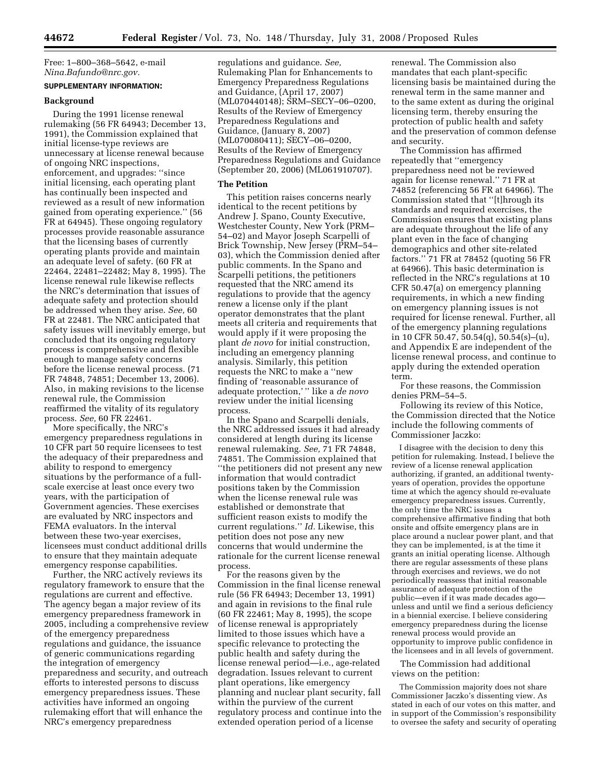Free: 1–800–368–5642, e-mail *Nina.Bafundo@nrc.gov.* 

## **SUPPLEMENTARY INFORMATION:**

# **Background**

During the 1991 license renewal rulemaking (56 FR 64943; December 13, 1991), the Commission explained that initial license-type reviews are unnecessary at license renewal because of ongoing NRC inspections, enforcement, and upgrades: ''since initial licensing, each operating plant has continually been inspected and reviewed as a result of new information gained from operating experience.'' (56 FR at 64945). These ongoing regulatory processes provide reasonable assurance that the licensing bases of currently operating plants provide and maintain an adequate level of safety. (60 FR at 22464, 22481–22482; May 8, 1995). The license renewal rule likewise reflects the NRC's determination that issues of adequate safety and protection should be addressed when they arise. *See,* 60 FR at 22481. The NRC anticipated that safety issues will inevitably emerge, but concluded that its ongoing regulatory process is comprehensive and flexible enough to manage safety concerns before the license renewal process. (71 FR 74848, 74851; December 13, 2006). Also, in making revisions to the license renewal rule, the Commission reaffirmed the vitality of its regulatory process. *See,* 60 FR 22461.

More specifically, the NRC's emergency preparedness regulations in 10 CFR part 50 require licensees to test the adequacy of their preparedness and ability to respond to emergency situations by the performance of a fullscale exercise at least once every two years, with the participation of Government agencies. These exercises are evaluated by NRC inspectors and FEMA evaluators. In the interval between these two-year exercises, licensees must conduct additional drills to ensure that they maintain adequate emergency response capabilities.

Further, the NRC actively reviews its regulatory framework to ensure that the regulations are current and effective. The agency began a major review of its emergency preparedness framework in 2005, including a comprehensive review of the emergency preparedness regulations and guidance, the issuance of generic communications regarding the integration of emergency preparedness and security, and outreach efforts to interested persons to discuss emergency preparedness issues. These activities have informed an ongoing rulemaking effort that will enhance the NRC's emergency preparedness

regulations and guidance. *See,*  Rulemaking Plan for Enhancements to Emergency Preparedness Regulations and Guidance, (April 17, 2007) (ML070440148); SRM–SECY–06–0200, Results of the Review of Emergency Preparedness Regulations and Guidance, (January 8, 2007) (ML070080411); SECY–06–0200, Results of the Review of Emergency Preparedness Regulations and Guidance (September 20, 2006) (ML061910707).

## **The Petition**

This petition raises concerns nearly identical to the recent petitions by Andrew J. Spano, County Executive, Westchester County, New York (PRM– 54–02) and Mayor Joseph Scarpelli of Brick Township, New Jersey (PRM–54– 03), which the Commission denied after public comments. In the Spano and Scarpelli petitions, the petitioners requested that the NRC amend its regulations to provide that the agency renew a license only if the plant operator demonstrates that the plant meets all criteria and requirements that would apply if it were proposing the plant *de novo* for initial construction, including an emergency planning analysis. Similarly, this petition requests the NRC to make a ''new finding of 'reasonable assurance of adequate protection,' '' like a *de novo*  review under the initial licensing process.

In the Spano and Scarpelli denials, the NRC addressed issues it had already considered at length during its license renewal rulemaking. *See,* 71 FR 74848, 74851. The Commission explained that ''the petitioners did not present any new information that would contradict positions taken by the Commission when the license renewal rule was established or demonstrate that sufficient reason exists to modify the current regulations.'' *Id.* Likewise, this petition does not pose any new concerns that would undermine the rationale for the current license renewal process.

For the reasons given by the Commission in the final license renewal rule (56 FR 64943; December 13, 1991) and again in revisions to the final rule (60 FR 22461; May 8, 1995), the scope of license renewal is appropriately limited to those issues which have a specific relevance to protecting the public health and safety during the license renewal period—i.e., age-related degradation. Issues relevant to current plant operations, like emergency planning and nuclear plant security, fall within the purview of the current regulatory process and continue into the extended operation period of a license

renewal. The Commission also mandates that each plant-specific licensing basis be maintained during the renewal term in the same manner and to the same extent as during the original licensing term, thereby ensuring the protection of public health and safety and the preservation of common defense and security.

The Commission has affirmed repeatedly that ''emergency preparedness need not be reviewed again for license renewal.'' 71 FR at 74852 (referencing 56 FR at 64966). The Commission stated that ''[t]hrough its standards and required exercises, the Commission ensures that existing plans are adequate throughout the life of any plant even in the face of changing demographics and other site-related factors.'' 71 FR at 78452 (quoting 56 FR at 64966). This basic determination is reflected in the NRC's regulations at 10 CFR 50.47(a) on emergency planning requirements, in which a new finding on emergency planning issues is not required for license renewal. Further, all of the emergency planning regulations in 10 CFR 50.47, 50.54(q), 50.54(s)–(u), and Appendix E are independent of the license renewal process, and continue to apply during the extended operation term.

For these reasons, the Commission denies PRM–54–5.

Following its review of this Notice, the Commission directed that the Notice include the following comments of Commissioner Jaczko:

I disagree with the decision to deny this petition for rulemaking. Instead, I believe the review of a license renewal application authorizing, if granted, an additional twentyyears of operation, provides the opportune time at which the agency should re-evaluate emergency preparedness issues. Currently, the only time the NRC issues a comprehensive affirmative finding that both onsite and offsite emergency plans are in place around a nuclear power plant, and that they can be implemented, is at the time it grants an initial operating license. Although there are regular assessments of these plans through exercises and reviews, we do not periodically reassess that initial reasonable assurance of adequate protection of the public—even if it was made decades ago unless and until we find a serious deficiency in a biennial exercise. I believe considering emergency preparedness during the license renewal process would provide an opportunity to improve public confidence in the licensees and in all levels of government.

The Commission had additional views on the petition:

The Commission majority does not share Commissioner Jaczko's dissenting view. As stated in each of our votes on this matter, and in support of the Commission's responsibility to oversee the safety and security of operating